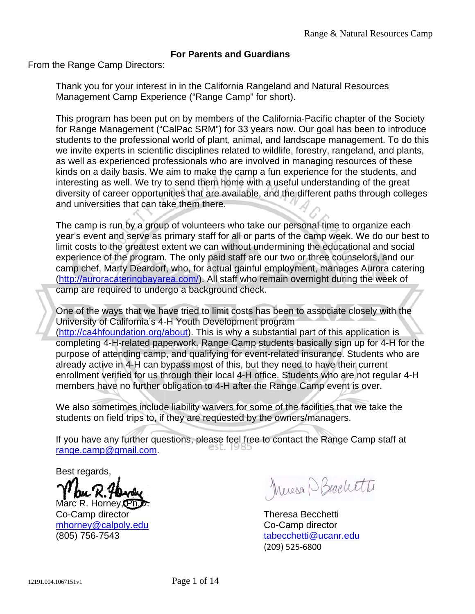## **For Parents and Guardians**

From the Range Camp Directors:

Thank you for your interest in in the California Rangeland and Natural Resources Management Camp Experience ("Range Camp" for short).

This program has been put on by members of the California-Pacific chapter of the Society for Range Management ("CalPac SRM") for 33 years now. Our goal has been to introduce students to the professional world of plant, animal, and landscape management. To do this we invite experts in scientific disciplines related to wildlife, forestry, rangeland, and plants, as well as experienced professionals who are involved in managing resources of these kinds on a daily basis. We aim to make the camp a fun experience for the students, and interesting as well. We try to send them home with a useful understanding of the great diversity of career opportunities that are available, and the different paths through colleges and universities that can take them there.

The camp is run by a group of volunteers who take our personal time to organize each year's event and serve as primary staff for all or parts of the camp week. We do our best to limit costs to the greatest extent we can without undermining the educational and social experience of the program. The only paid staff are our two or three counselors, and our camp chef, Marty Deardorf, who, for actual gainful employment, manages Aurora catering (http://auroracateringbayarea.com/). All staff who remain overnight during the week of camp are required to undergo a background check.

One of the ways that we have tried to limit costs has been to associate closely with the University of California's 4-H Youth Development program (http://ca4hfoundation.org/about). This is why a substantial part of this application is completing 4-H-related paperwork. Range Camp students basically sign up for 4-H for the purpose of attending camp, and qualifying for event-related insurance. Students who are already active in 4-H can bypass most of this, but they need to have their current enrollment verified for us through their local 4-H office. Students who are not regular 4-H members have no further obligation to 4-H after the Range Camp event is over.

We also sometimes include liability waivers for some of the facilities that we take the students on field trips to, if they are requested by the owners/managers.

If you have any further questions, please feel free to contact the Range Camp staff at range.camp@gmail.com.

Best regards,

Marc R. Horney, Ph. Co-Camp director mhorney@calpoly.edu (805) 756-7543

Mussa P Beachtte

Theresa Becchetti Co-Camp director tabecchetti@ucanr.edu (209) 525‐6800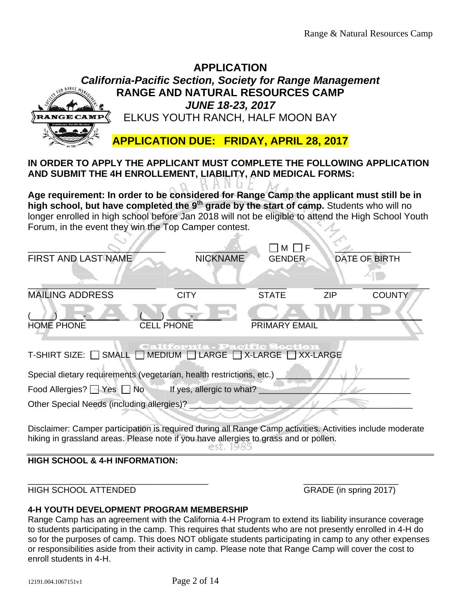|                                                                                                                                                                                                                                                                                                                                                                                                                                                                                                            | <b>APPLICATION</b>                             |                      |            |                      |  |
|------------------------------------------------------------------------------------------------------------------------------------------------------------------------------------------------------------------------------------------------------------------------------------------------------------------------------------------------------------------------------------------------------------------------------------------------------------------------------------------------------------|------------------------------------------------|----------------------|------------|----------------------|--|
| <b>California-Pacific Section, Society for Range Management</b>                                                                                                                                                                                                                                                                                                                                                                                                                                            |                                                |                      |            |                      |  |
| <b>RANGE AND NATURAL RESOURCES CAMP</b>                                                                                                                                                                                                                                                                                                                                                                                                                                                                    |                                                |                      |            |                      |  |
|                                                                                                                                                                                                                                                                                                                                                                                                                                                                                                            | <b>JUNE 18-23, 2017</b>                        |                      |            |                      |  |
| <b>RANGE CAMP</b>                                                                                                                                                                                                                                                                                                                                                                                                                                                                                          | ELKUS YOUTH RANCH, HALF MOON BAY               |                      |            |                      |  |
|                                                                                                                                                                                                                                                                                                                                                                                                                                                                                                            |                                                |                      |            |                      |  |
|                                                                                                                                                                                                                                                                                                                                                                                                                                                                                                            | <b>APPLICATION DUE: FRIDAY, APRIL 28, 2017</b> |                      |            |                      |  |
| IN ORDER TO APPLY THE APPLICANT MUST COMPLETE THE FOLLOWING APPLICATION<br>AND SUBMIT THE 4H ENROLLEMENT, LIABILITY, AND MEDICAL FORMS:<br>Age requirement: In order to be considered for Range Camp the applicant must still be in<br>high school, but have completed the 9 <sup>th</sup> grade by the start of camp. Students who will no<br>longer enrolled in high school before Jan 2018 will not be eligible to attend the High School Youth<br>Forum, in the event they win the Top Camper contest. |                                                |                      |            |                      |  |
|                                                                                                                                                                                                                                                                                                                                                                                                                                                                                                            |                                                |                      |            |                      |  |
|                                                                                                                                                                                                                                                                                                                                                                                                                                                                                                            |                                                | M I                  |            |                      |  |
| <b>FIRST AND LAST NAME</b>                                                                                                                                                                                                                                                                                                                                                                                                                                                                                 | <b>NICKNAME</b>                                | <b>GENDER</b>        |            | <b>DATE OF BIRTH</b> |  |
| <b>MAILING ADDRESS</b>                                                                                                                                                                                                                                                                                                                                                                                                                                                                                     | <b>CITY</b>                                    | <b>STATE</b>         | <b>ZIP</b> | <b>COUNTY</b>        |  |
|                                                                                                                                                                                                                                                                                                                                                                                                                                                                                                            |                                                |                      |            |                      |  |
|                                                                                                                                                                                                                                                                                                                                                                                                                                                                                                            |                                                |                      |            |                      |  |
| <b>HOME PHONE</b>                                                                                                                                                                                                                                                                                                                                                                                                                                                                                          | <b>CELL PHONE</b>                              | <b>PRIMARY EMAIL</b> |            |                      |  |
| <b>California - Pacific Section</b><br>T-SHIRT SIZE: $\Box$ SMALL $\Box$ MEDIUM $\Box$ LARGE $\Box$ X-LARGE $\Box$ XX-LARGE                                                                                                                                                                                                                                                                                                                                                                                |                                                |                      |            |                      |  |
| Special dietary requirements (vegetarian, health restrictions, etc.)                                                                                                                                                                                                                                                                                                                                                                                                                                       |                                                |                      |            |                      |  |
| If yes, allergic to what? _<br>Food Allergies? ■ Yes ■ No                                                                                                                                                                                                                                                                                                                                                                                                                                                  |                                                |                      |            |                      |  |
| Other Special Needs (including allergies)?                                                                                                                                                                                                                                                                                                                                                                                                                                                                 |                                                |                      |            |                      |  |
|                                                                                                                                                                                                                                                                                                                                                                                                                                                                                                            |                                                |                      |            |                      |  |
| Disclaimer: Camper participation is required during all Range Camp activities. Activities include moderate<br>hiking in grassland areas. Please note if you have allergies to grass and or pollen.                                                                                                                                                                                                                                                                                                         |                                                |                      |            |                      |  |

## **HIGH SCHOOL & 4-H INFORMATION:**

HIGH SCHOOL ATTENDED GRADE (in spring 2017)

### **4-H YOUTH DEVELOPMENT PROGRAM MEMBERSHIP**

Range Camp has an agreement with the California 4-H Program to extend its liability insurance coverage to students participating in the camp. This requires that students who are not presently enrolled in 4-H do so for the purposes of camp. This does NOT obligate students participating in camp to any other expenses or responsibilities aside from their activity in camp. Please note that Range Camp will cover the cost to enroll students in 4-H.

 $\overline{\phantom{a}}$  , and the contract of the contract of the contract of the contract of the contract of the contract of the contract of the contract of the contract of the contract of the contract of the contract of the contrac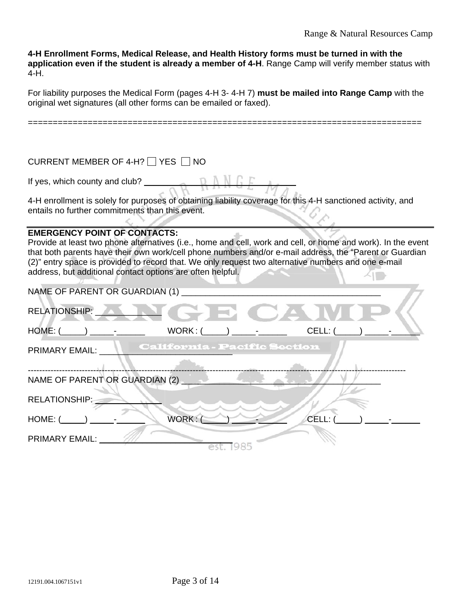**4-H Enrollment Forms, Medical Release, and Health History forms must be turned in with the application even if the student is already a member of 4-H**. Range Camp will verify member status with  $4-H.$ 

For liability purposes the Medical Form (pages 4-H 3- 4-H 7) **must be mailed into Range Camp** with the original wet signatures (all other forms can be emailed or faxed).

===============================================================================

| CURRENT MEMBER OF 4-H? YES NO                                                                                                                                                                                                                                                                                                                                                                                                        |         |                                     |       |
|--------------------------------------------------------------------------------------------------------------------------------------------------------------------------------------------------------------------------------------------------------------------------------------------------------------------------------------------------------------------------------------------------------------------------------------|---------|-------------------------------------|-------|
| If yes, which county and club? $\Box$                                                                                                                                                                                                                                                                                                                                                                                                |         |                                     |       |
| 4-H enrollment is solely for purposes of obtaining liability coverage for this 4-H sanctioned activity, and<br>entails no further commitments than this event.                                                                                                                                                                                                                                                                       |         |                                     |       |
| <b>EMERGENCY POINT OF CONTACTS:</b><br>Provide at least two phone alternatives (i.e., home and cell, work and cell, or home and work). In the event<br>that both parents have their own work/cell phone numbers and/or e-mail address, the "Parent or Guardian"<br>(2)" entry space is provided to record that. We only request two alternative numbers and one e-mail<br>address, but additional contact options are often helpful. |         |                                     |       |
| NAME OF PARENT OR GUARDIAN (1)                                                                                                                                                                                                                                                                                                                                                                                                       |         |                                     |       |
| RELATIONSHIP: NAME AND A STREET                                                                                                                                                                                                                                                                                                                                                                                                      |         |                                     |       |
| $HOME: ($ ____________________ -                                                                                                                                                                                                                                                                                                                                                                                                     | WORK: ( |                                     | CELL: |
| <b>PRIMARY EMAIL:</b>                                                                                                                                                                                                                                                                                                                                                                                                                |         | <b>California - Pacific Section</b> |       |
| NAME OF PARENT OR GUARDIAN (2)                                                                                                                                                                                                                                                                                                                                                                                                       |         |                                     |       |
| <b>RELATIONSHIP:</b>                                                                                                                                                                                                                                                                                                                                                                                                                 |         |                                     |       |
| HOME: (                                                                                                                                                                                                                                                                                                                                                                                                                              | WORK:   |                                     | CELL: |
| <b>PRIMARY EMAIL:</b>                                                                                                                                                                                                                                                                                                                                                                                                                |         |                                     |       |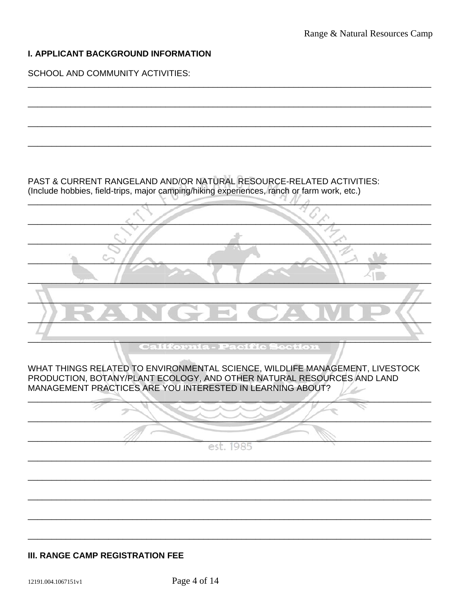### I. APPLICANT BACKGROUND INFORMATION

**SCHOOL AND COMMUNITY ACTIVITIES:** 

PAST & CURRENT RANGELAND AND/OR NATURAL RESOURCE-RELATED ACTIVITIES: (Include hobbies, field-trips, major camping/hiking experiences, ranch or farm work, etc.)

**California - Pacific Section** 

WHAT THINGS RELATED TO ENVIRONMENTAL SCIENCE, WILDLIFE MANAGEMENT, LIVESTOCK PRODUCTION, BOTANY/PLANT ECOLOGY, AND OTHER NATURAL RESOURCES AND LAND MANAGEMENT PRACTICES ARE YOU INTERESTED IN LEARNING ABOUT?

est. 1985

### **III. RANGE CAMP REGISTRATION FEE**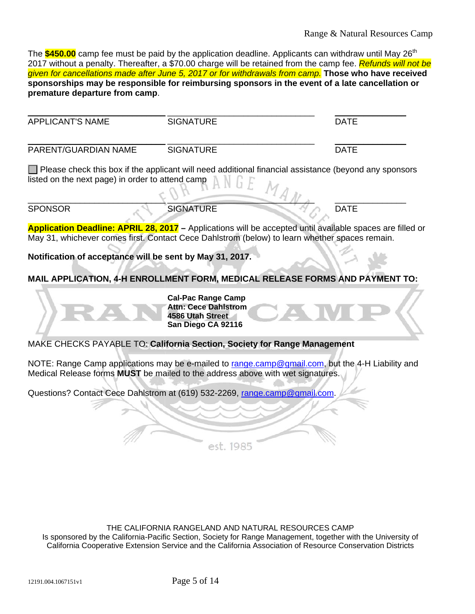# Range & Natural Resources Camp

The \$450.00 camp fee must be paid by the application deadline. Applicants can withdraw until May 26<sup>th</sup> 2017 without a penalty. Thereafter, a \$70.00 charge will be retained from the camp fee. *Refunds will not be given for cancellations made after June 5, 2017 or for withdrawals from camp.* **Those who have received sponsorships may be responsible for reimbursing sponsors in the event of a late cancellation or premature departure from camp**.

| <b>APPLICANT'S NAME</b>                                  | <b>SIGNATURE</b>                                                                                                                                                                                           | <b>DATE</b> |
|----------------------------------------------------------|------------------------------------------------------------------------------------------------------------------------------------------------------------------------------------------------------------|-------------|
| PARENT/GUARDIAN NAME                                     | <b>SIGNATURE</b>                                                                                                                                                                                           | <b>DATE</b> |
| listed on the next page) in order to attend camp         | Please check this box if the applicant will need additional financial assistance (beyond any sponsors<br>$1_{A_M}$                                                                                         |             |
| <b>SPONSOR</b>                                           | <b>SIGNATURE</b>                                                                                                                                                                                           | <b>DATE</b> |
|                                                          | Application Deadline: APRIL 28, 2017 - Applications will be accepted until available spaces are filled or<br>May 31, whichever comes first. Contact Cece Dahlstrom (below) to learn whether spaces remain. |             |
| Notification of acceptance will be sent by May 31, 2017. |                                                                                                                                                                                                            |             |
|                                                          | MAIL APPLICATION, 4-H ENROLLMENT FORM, MEDICAL RELEASE FORMS AND PAYMENT TO:                                                                                                                               |             |
|                                                          | <b>Cal-Pac Range Camp</b><br><b>Attn: Cece Dahlstrom</b><br>4586 Utah Street<br>San Diego CA 92116                                                                                                         |             |
|                                                          | MAKE CHECKS PAYABLE TO: California Section, Society for Range Management                                                                                                                                   |             |
|                                                          | NOTE: Range Camp applications may be e-mailed to range.camp@gmail.com, but the 4-H Liability and<br>Medical Release forms MUST be mailed to the address above with wet signatures.                         |             |
|                                                          | Questions? Contact Cece Dahlstrom at (619) 532-2269, range.camp@gmail.com.                                                                                                                                 |             |

est. 1985

THE CALIFORNIA RANGELAND AND NATURAL RESOURCES CAMP Is sponsored by the California-Pacific Section, Society for Range Management, together with the University of California Cooperative Extension Service and the California Association of Resource Conservation Districts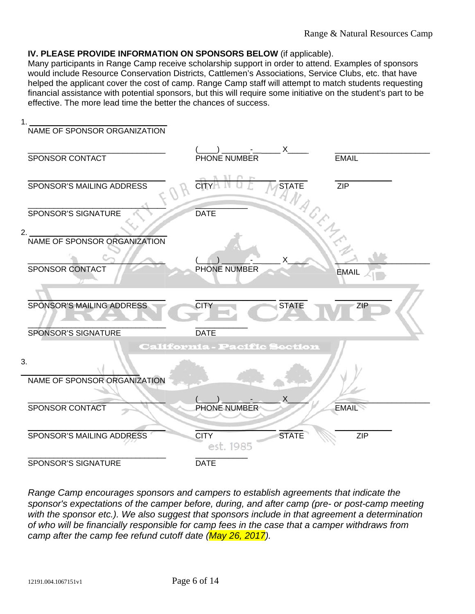### **IV. PLEASE PROVIDE INFORMATION ON SPONSORS BELOW** (if applicable).

Many participants in Range Camp receive scholarship support in order to attend. Examples of sponsors would include Resource Conservation Districts, Cattlemen's Associations, Service Clubs, etc. that have helped the applicant cover the cost of camp. Range Camp staff will attempt to match students requesting financial assistance with potential sponsors, but this will require some initiative on the student's part to be effective. The more lead time the better the chances of success.



*Range Camp encourages sponsors and campers to establish agreements that indicate the sponsor's expectations of the camper before, during, and after camp (pre- or post-camp meeting*  with the sponsor etc.). We also suggest that sponsors include in that agreement a determination *of who will be financially responsible for camp fees in the case that a camper withdraws from camp after the camp fee refund cutoff date (May 26, 2017).*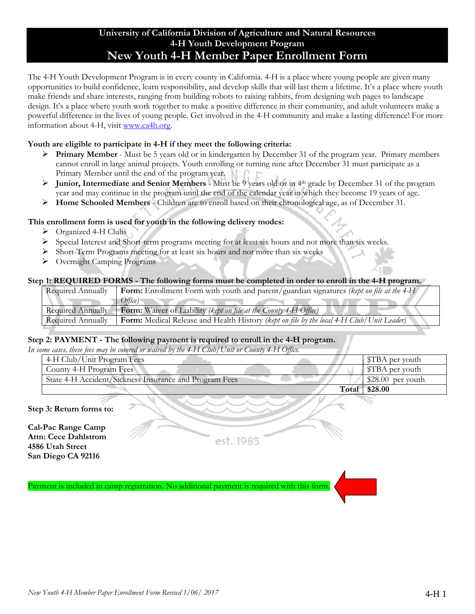### **University of California Division of Agriculture and Natural Resources 4-H Youth Development Program New Youth 4-H Member Paper Enrollment Form**

The 4-H Youth Development Program is in every county in California. 4-H is a place where young people are given many opportunities to build confidence, learn responsibility, and develop skills that will last them a lifetime. It's a place where youth make friends and share interests, ranging from building robots to raising rabbits, from designing web pages to landscape design. It's a place where youth work together to make a positive difference in their community, and adult volunteers make a powerful difference in the lives of young people. Get involved in the 4-H community and make a lasting difference! For more information about 4-H, visit www.ca4h.org.

### **Youth are eligible to participate in 4-H if they meet the following criteria:**

- **Primary Member** Must be 5 years old or in kindergarten by December 31 of the program year. Primary members cannot enroll in large animal projects. Youth enrolling or turning nine after December 31 must participate as a Primary Member until the end of the program year.
- **Junior, Intermediate and Senior Members** Must be 9 years old or in 4th grade by December 31 of the program year and may continue in the program until the end of the calendar year in which they become 19 years of age.
- **Home Schooled Members** Children are to enroll based on their chronological age, as of December 31.

### **This enrollment form is used for youth in the following delivery modes:**

- Organized 4-H Clubs
- Special Interest and Short-term programs meeting for at least six hours and not more than six weeks.
- Short-Term Programs meeting for at least six hours and not more than six weeks
- Overnight Camping Programs

#### **Step 1: REQUIRED FORMS - The following forms must be completed in order to enroll in the 4-H program.**

| Required Annually        | <b>Form:</b> Enrollment Form with youth and parent/guardian signatures (kept on file at the 4-H  |
|--------------------------|--------------------------------------------------------------------------------------------------|
|                          | Office)                                                                                          |
| Required Annually        | <b>Form:</b> Waiver of Liability (kept on file at the County 4-H Office)                         |
| <b>Required Annually</b> | <b>Form:</b> Medical Release and Health History (kept on file by the local 4-H Club/Unit Leader) |

#### **Step 2: PAYMENT - The following payment is required to enroll in the 4-H program.**

*In some cases, these fees may be covered or waived by the 4-H Club/Unit or County 4-H Office.*

| 4-H Club/Unit Program Fees                             | STBA per youth          |
|--------------------------------------------------------|-------------------------|
| County 4-H Program Fees                                | <b>STBA</b> per youth   |
| State 4-H Accident/Sickness Insurance and Program Fees | $\pm$ \$28.00 per youth |
| Total                                                  | \$28.00                 |

**Step 3: Return forms to:** 

**Cal-Pac Range Camp Attn: Cece Dahlstrom 4586 Utah Street San Diego CA 92116** 

est. 1985

Payment is included in camp registration. No additional payment is required with this form.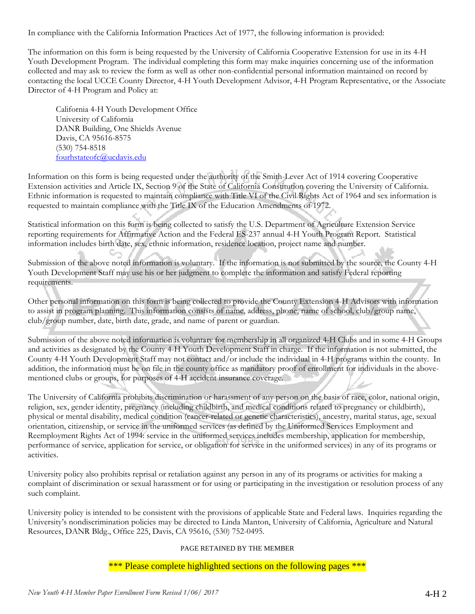In compliance with the California Information Practices Act of 1977, the following information is provided:

The information on this form is being requested by the University of California Cooperative Extension for use in its 4-H Youth Development Program. The individual completing this form may make inquiries concerning use of the information collected and may ask to review the form as well as other non-confidential personal information maintained on record by contacting the local UCCE County Director, 4-H Youth Development Advisor, 4-H Program Representative, or the Associate Director of 4-H Program and Policy at:

California 4-H Youth Development Office University of California DANR Building, One Shields Avenue Davis, CA 95616-8575 (530) 754-8518 fourhstateofc@ucdavis.edu

Information on this form is being requested under the authority of the Smith-Lever Act of 1914 covering Cooperative Extension activities and Article IX, Section 9 of the State of California Constitution covering the University of California. Ethnic information is requested to maintain compliance with Title VI of the Civil Rights Act of 1964 and sex information is requested to maintain compliance with the Title IX of the Education Amendments of 1972.

Statistical information on this form is being collected to satisfy the U.S. Department of Agriculture Extension Service reporting requirements for Affirmative Action and the Federal ES-237 annual 4-H Youth Program Report. Statistical information includes birth date, sex, ethnic information, residence location, project name and number.

Submission of the above noted information is voluntary. If the information is not submitted by the source, the County 4-H Youth Development Staff may use his or her judgment to complete the information and satisfy Federal reporting requirements.

Other personal information on this form is being collected to provide the County Extension 4-H Advisors with information to assist in program planning. This information consists of name, address, phone, name of school, club/group name, club/group number, date, birth date, grade, and name of parent or guardian.

Submission of the above noted information is voluntary for membership in all organized 4-H Clubs and in some 4-H Groups and activities as designated by the County 4-H Youth Development Staff in charge. If the information is not submitted, the County 4-H Youth Development Staff may not contact and/or include the individual in 4-H programs within the county. In addition, the information must be on file in the county office as mandatory proof of enrollment for individuals in the abovementioned clubs or groups, for purposes of 4-H accident insurance coverage.

The University of California prohibits discrimination or harassment of any person on the basis of race, color, national origin, religion, sex, gender identity, pregnancy (including childbirth, and medical conditions related to pregnancy or childbirth), physical or mental disability, medical condition (cancer-related or genetic characteristics), ancestry, marital status, age, sexual orientation, citizenship, or service in the uniformed services (as defined by the Uniformed Services Employment and Reemployment Rights Act of 1994: service in the uniformed services includes membership, application for membership, performance of service, application for service, or obligation for service in the uniformed services) in any of its programs or activities.

University policy also prohibits reprisal or retaliation against any person in any of its programs or activities for making a complaint of discrimination or sexual harassment or for using or participating in the investigation or resolution process of any such complaint.

University policy is intended to be consistent with the provisions of applicable State and Federal laws. Inquiries regarding the University's nondiscrimination policies may be directed to Linda Manton, University of California, Agriculture and Natural Resources, DANR Bldg., Office 225, Davis, CA 95616, (530) 752-0495.

#### PAGE RETAINED BY THE MEMBER

\*\*\* Please complete highlighted sections on the following pages \*\*\*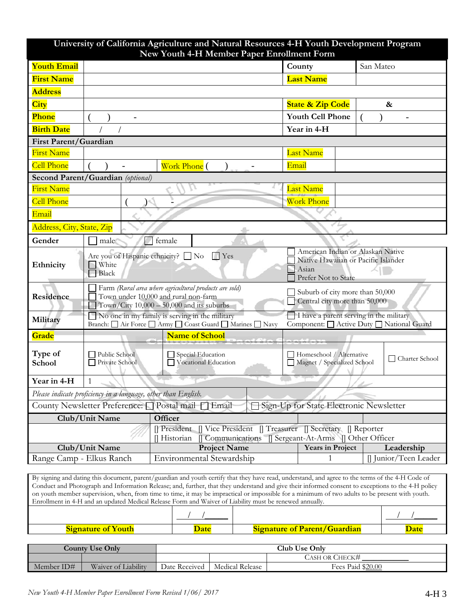|                              |                                                                                                                                                                                                                 | New Youth 4-H Member Paper Enrollment Form                                                              | University of California Agriculture and Natural Resources 4-H Youth Development Program                                                                                                                                                                                                                                                                                                                                                                   |  |
|------------------------------|-----------------------------------------------------------------------------------------------------------------------------------------------------------------------------------------------------------------|---------------------------------------------------------------------------------------------------------|------------------------------------------------------------------------------------------------------------------------------------------------------------------------------------------------------------------------------------------------------------------------------------------------------------------------------------------------------------------------------------------------------------------------------------------------------------|--|
| <b>Youth Email</b>           |                                                                                                                                                                                                                 |                                                                                                         | County<br>San Mateo                                                                                                                                                                                                                                                                                                                                                                                                                                        |  |
| <b>First Name</b>            |                                                                                                                                                                                                                 |                                                                                                         | <b>Last Name</b>                                                                                                                                                                                                                                                                                                                                                                                                                                           |  |
| <b>Address</b>               |                                                                                                                                                                                                                 |                                                                                                         |                                                                                                                                                                                                                                                                                                                                                                                                                                                            |  |
| <b>City</b>                  |                                                                                                                                                                                                                 |                                                                                                         | <b>State &amp; Zip Code</b><br>&                                                                                                                                                                                                                                                                                                                                                                                                                           |  |
| Phone                        |                                                                                                                                                                                                                 |                                                                                                         | <b>Youth Cell Phone</b>                                                                                                                                                                                                                                                                                                                                                                                                                                    |  |
| <b>Birth Date</b>            |                                                                                                                                                                                                                 |                                                                                                         | Year in 4-H                                                                                                                                                                                                                                                                                                                                                                                                                                                |  |
| <b>First Parent/Guardian</b> |                                                                                                                                                                                                                 |                                                                                                         |                                                                                                                                                                                                                                                                                                                                                                                                                                                            |  |
| <b>First Name</b>            |                                                                                                                                                                                                                 |                                                                                                         | <b>Last Name</b>                                                                                                                                                                                                                                                                                                                                                                                                                                           |  |
| <b>Cell Phone</b>            |                                                                                                                                                                                                                 | Work Phone (                                                                                            | Email                                                                                                                                                                                                                                                                                                                                                                                                                                                      |  |
|                              | Second Parent/Guardian (optional)                                                                                                                                                                               |                                                                                                         |                                                                                                                                                                                                                                                                                                                                                                                                                                                            |  |
| <b>First Name</b>            |                                                                                                                                                                                                                 |                                                                                                         | <b>Last Name</b>                                                                                                                                                                                                                                                                                                                                                                                                                                           |  |
| <b>Cell Phone</b>            |                                                                                                                                                                                                                 |                                                                                                         | <b>Work Phone</b>                                                                                                                                                                                                                                                                                                                                                                                                                                          |  |
| Email                        |                                                                                                                                                                                                                 |                                                                                                         |                                                                                                                                                                                                                                                                                                                                                                                                                                                            |  |
| Address, City, State, Zip    |                                                                                                                                                                                                                 |                                                                                                         |                                                                                                                                                                                                                                                                                                                                                                                                                                                            |  |
| Gender                       | male                                                                                                                                                                                                            | female                                                                                                  |                                                                                                                                                                                                                                                                                                                                                                                                                                                            |  |
| Ethnicity                    | American Indian or Alaskan Native<br>Are you of Hispanic ethnicity? □ No<br>$\Box$ Yes<br>Native Hawaiian or Pacific Islander<br>White<br>Asian<br><b>Black</b><br>Prefer Not to State                          |                                                                                                         |                                                                                                                                                                                                                                                                                                                                                                                                                                                            |  |
| Residence                    | Farm (Rural area where agricultural products are sold)<br>Suburb of city more than 50,000<br>Town under 10,000 and rural non-farm<br>Central city more than 50,000<br>Town/City 10,000 - 50,000 and its suburbs |                                                                                                         |                                                                                                                                                                                                                                                                                                                                                                                                                                                            |  |
| Military                     | I have a parent serving in the military<br>$\Box$ No one in my family is serving in the military<br>Branch: Air Force Army Coast Guard Marines Navy<br>Component: Active Duty National Guard                    |                                                                                                         |                                                                                                                                                                                                                                                                                                                                                                                                                                                            |  |
| Grade                        |                                                                                                                                                                                                                 | <b>Name of School</b>                                                                                   |                                                                                                                                                                                                                                                                                                                                                                                                                                                            |  |
| Type of<br>School            | Public School<br>Private School                                                                                                                                                                                 | Special Education<br>Vocational Education                                                               | Homeschool / Alternative<br>□ Charter School<br>Magnet / Specialized School                                                                                                                                                                                                                                                                                                                                                                                |  |
| Year in 4-H                  | 1                                                                                                                                                                                                               |                                                                                                         |                                                                                                                                                                                                                                                                                                                                                                                                                                                            |  |
|                              | Please indicate proficiency in a language, other than English.                                                                                                                                                  |                                                                                                         |                                                                                                                                                                                                                                                                                                                                                                                                                                                            |  |
|                              |                                                                                                                                                                                                                 | County Newsletter Preference: □ Postal mail □ Email                                                     | Sign-Up for State Electronic Newsletter                                                                                                                                                                                                                                                                                                                                                                                                                    |  |
|                              | Club/Unit Name                                                                                                                                                                                                  | Officer                                                                                                 |                                                                                                                                                                                                                                                                                                                                                                                                                                                            |  |
|                              |                                                                                                                                                                                                                 | <b>∏</b> President<br>Communications<br>Historian                                                       | Vice President    Treasurer    Secretary    Reporter<br>□ Sergeant-At-Arms □ Other Officer                                                                                                                                                                                                                                                                                                                                                                 |  |
|                              | Club/Unit Name                                                                                                                                                                                                  | <b>Project Name</b>                                                                                     | <b>Years in Project</b><br>Leadership                                                                                                                                                                                                                                                                                                                                                                                                                      |  |
| Range Camp - Elkus Ranch     |                                                                                                                                                                                                                 | Environmental Stewardship                                                                               | [] Junior/Teen Leader                                                                                                                                                                                                                                                                                                                                                                                                                                      |  |
|                              |                                                                                                                                                                                                                 | Enrollment in 4-H and an updated Medical Release Form and Waiver of Liability must be renewed annually. | By signing and dating this document, parent/guardian and youth certify that they have read, understand, and agree to the terms of the 4-H Code of<br>Conduct and Photograph and Information Release; and, further, that they understand and give their informed consent to exceptions to the 4-H policy<br>on youth member supervision, when, from time to time, it may be impractical or impossible for a minimum of two adults to be present with youth. |  |

| $\sim$<br>$V \cap T$ | )atı | Juardiar<br>Paren<br>nt. | ate |
|----------------------|------|--------------------------|-----|

| <b>County Use Only</b> |                     |               |                 | Club Use Only     |
|------------------------|---------------------|---------------|-----------------|-------------------|
|                        |                     |               |                 | Cash or Check#    |
| Member ID#             | Waiver of Liability | Date Received | Medical Release | Fees Paid \$20.00 |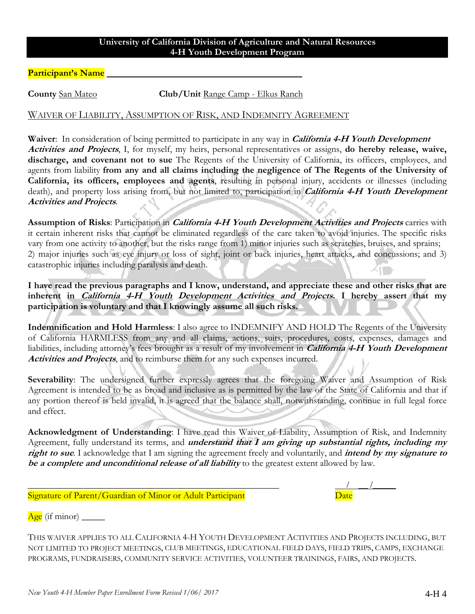### **University of California Division of Agriculture and Natural Resources 4-H Youth Development Program**

Participant's Name

**County** San Mateo<br> **Club/Unit** Range Camp - Elkus Ranch

### WAIVER OF LIABILITY, ASSUMPTION OF RISK, AND INDEMNITY AGREEMENT

**Waiver**: In consideration of being permitted to participate in any way in **California 4-H Youth Development Activities and Projects**, I, for myself, my heirs, personal representatives or assigns, **do hereby release, waive, discharge, and covenant not to sue** The Regents of the University of California, its officers, employees, and agents from liability **from any and all claims including the negligence of The Regents of the University of California, its officers, employees and agents**, resulting in personal injury, accidents or illnesses (including death), and property loss arising from, but not limited to, participation in **California 4-H Youth Development Activities and Projects**.

**Assumption of Risks**: Participation in **California 4-H Youth Development Activities and Projects** carries with it certain inherent risks that cannot be eliminated regardless of the care taken to avoid injuries. The specific risks vary from one activity to another, but the risks range from 1) minor injuries such as scratches, bruises, and sprains; 2) major injuries such as eye injury or loss of sight, joint or back injuries, heart attacks, and concussions; and 3) catastrophic injuries including paralysis and death.

**I have read the previous paragraphs and I know, understand, and appreciate these and other risks that are inherent in California 4-H Youth Development Activities and Projects. I hereby assert that my participation is voluntary and that I knowingly assume all such risks.** 

**Indemnification and Hold Harmless**: I also agree to INDEMNIFY AND HOLD The Regents of the University of California HARMLESS from any and all claims, actions, suits, procedures, costs, expenses, damages and liabilities, including attorney's fees brought as a result of my involvement in **California 4-H Youth Development Activities and Projects**, and to reimburse them for any such expenses incurred.

Severability: The undersigned further expressly agrees that the foregoing Waiver and Assumption of Risk Agreement is intended to be as broad and inclusive as is permitted by the law of the State of California and that if any portion thereof is held invalid, it is agreed that the balance shall, notwithstanding, continue in full legal force and effect.

**Acknowledgment of Understanding**: I have read this Waiver of Liability, Assumption of Risk, and Indemnity Agreement, fully understand its terms, and **understand that I am giving up substantial rights, including my right to sue**. I acknowledge that I am signing the agreement freely and voluntarily, and **intend by my signature to be a complete and unconditional release of all liability** to the greatest extent allowed by law.

| Signature of Parent/Guardian of Minor or Adult Participant |  |
|------------------------------------------------------------|--|

Signature of Parent/Guardian of Minor or Adult Participant

Age (if minor)

THIS WAIVER APPLIES TO ALL CALIFORNIA 4-H YOUTH DEVELOPMENT ACTIVITIES AND PROJECTS INCLUDING, BUT NOT LIMITED TO PROJECT MEETINGS, CLUB MEETINGS, EDUCATIONAL FIELD DAYS, FIELD TRIPS, CAMPS, EXCHANGE PROGRAMS, FUNDRAISERS, COMMUNITY SERVICE ACTIVITIES, VOLUNTEER TRAININGS, FAIRS, AND PROJECTS.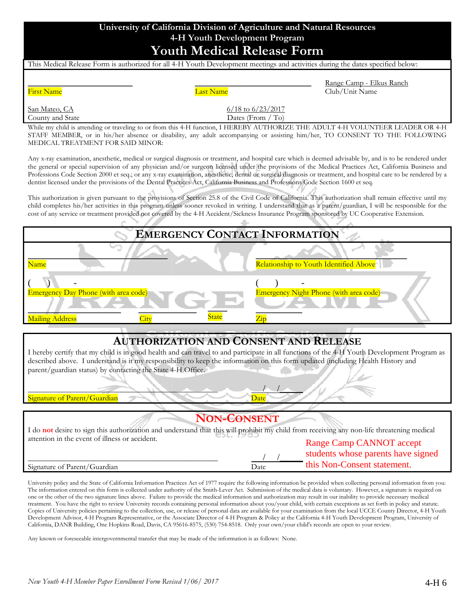## **University of California Division of Agriculture and Natural Resources 4-H Youth Development Program Youth Medical Release Form**

| This Medical Release Form is authorized for all 4-H Youth Development meetings and activities during the dates specified below: |  |
|---------------------------------------------------------------------------------------------------------------------------------|--|
|                                                                                                                                 |  |
|                                                                                                                                 |  |
|                                                                                                                                 |  |

First Name

Last Name

Range Camp - Elkus Ranch Club/Unit Name

| San Mateo, CA    |
|------------------|
| County and State |

\_\_\_\_\_\_\_\_\_\_\_\_\_\_\_\_\_\_\_\_\_\_\_\_\_\_\_

6/18 to 6/23/2017 Dates (From / To)

\_\_\_\_\_\_\_\_\_\_\_\_\_\_\_\_\_\_\_\_\_\_\_\_\_\_\_\_\_\_

While my child is attending or traveling to or from this 4-H function, I HEREBY AUTHORIZE THE ADULT 4-H VOLUNTEER LEADER OR 4-H STAFF MEMBER, or in his/her absence or disability, any adult accompanying or assisting him/her, TO CONSENT TO THE FOLLOWING MEDICAL TREATMENT FOR SAID MINOR:

Any x-ray examination, anesthetic, medical or surgical diagnosis or treatment, and hospital care which is deemed advisable by, and is to be rendered under the general or special supervision of any physician and/or surgeon licensed under the provisions of the Medical Practices Act, California Business and Professions Code Section 2000 et seq.; or any x-ray examination, anesthetic, dental or surgical diagnosis or treatment, and hospital care to be rendered by a dentist licensed under the provisions of the Dental Practices Act, California Business and Professions Code Section 1600 et seq.

This authorization is given pursuant to the provisions of Section 25.8 of the Civil Code of California. This authorization shall remain effective until my child completes his/her activities in this program unless sooner revoked in writing. I understand that as a parent/guardian, I will be responsible for the cost of any service or treatment provided not covered by the 4-H Accident/Sickness Insurance Program sponsored by UC Cooperative Extension.

三

|                                             |  | <b>EMERGENCY CONTACT INFORMATION</b>   |
|---------------------------------------------|--|----------------------------------------|
| Name                                        |  | Relationship to Youth Identified Above |
|                                             |  |                                        |
| <b>Emergency Day Phone (with area code)</b> |  |                                        |
|                                             |  | Emergency Night Phone (with area code) |
| <b>Mailing Address</b>                      |  |                                        |

# **AUTHORIZATION AND CONSENT AND RELEASE**

I hereby certify that my child is in good health and can travel to and participate in all functions of the 4-H Youth Development Program as described above. I understand is it my responsibility to keep the information on this form updated (including Health History and parent/guardian status) by contacting the State 4-H Office.

#### \_\_\_\_\_\_\_\_\_\_\_\_\_\_\_\_\_\_\_\_\_\_\_\_\_\_\_\_\_\_\_\_\_\_\_\_\_\_\_\_\_\_\_\_\_\_\_\_\_ / /\_\_\_\_\_ Signature of Parent/Guardian Date

### **NON-CONSENT**

| I do not desire to sign this authorization and understand that this will prohibit my child from receiving any non-life threatening medical |      |                                    |
|--------------------------------------------------------------------------------------------------------------------------------------------|------|------------------------------------|
| attention in the event of illness or accident.                                                                                             |      | <b>Range Camp CANNOT accept</b>    |
|                                                                                                                                            |      | students whose parents have signed |
| Signature of Parent/Guardian                                                                                                               | Date | this Non-Consent statement.        |

University policy and the State of California Information Practices Act of 1977 require the following information be provided when collecting personal information from you: The information entered on this form is collected under authority of the Smith-Lever Act. Submission of the medical data is voluntary. However, a signature is required on one or the other of the two signature lines above. Failure to provide the medical information and authorization may result in our inability to provide necessary medical treatment. You have the right to review University records containing personal information about you/your child, with certain exceptions as set forth in policy and statute. Copies of University policies pertaining to the collection, use, or release of personal data are available for your examination from the local UCCE County Director, 4-H Youth Development Advisor, 4-H Program Representative, or the Associate Director of 4-H Program & Policy at the California 4-H Youth Development Program, University of California, DANR Building, One Hopkins Road, Davis, CA 95616-8575, (530) 754-8518. Only your own/your child's records are open to your review.

Any known or foreseeable intergovernmental transfer that may be made of the information is as follows: None.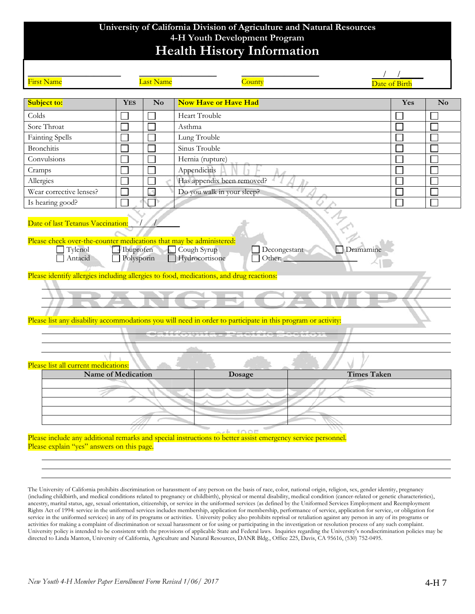# **University of California Division of Agriculture and Natural Resources 4-H Youth Development Program Health History Information**

| First Name<br>Subject to:<br>Colds<br>Sore Throat<br>Fainting Spells | <b>YES</b> | Last Name<br>$\mathbf{N}\mathbf{o}$ | County<br><b>Now Have or Have Had</b>                                                                        | Date of Birt<br>Yes |                |
|----------------------------------------------------------------------|------------|-------------------------------------|--------------------------------------------------------------------------------------------------------------|---------------------|----------------|
|                                                                      |            |                                     |                                                                                                              |                     |                |
|                                                                      |            |                                     |                                                                                                              |                     | N <sub>0</sub> |
|                                                                      |            |                                     | Heart Trouble                                                                                                |                     |                |
|                                                                      |            |                                     | Asthma                                                                                                       |                     |                |
|                                                                      |            |                                     | Lung Trouble                                                                                                 |                     |                |
| <b>Bronchitis</b>                                                    |            |                                     | Sinus Trouble                                                                                                |                     |                |
| Convulsions                                                          |            |                                     | Hernia (rupture)                                                                                             |                     |                |
| Cramps                                                               |            |                                     | Appendicitis                                                                                                 |                     |                |
| Allergies                                                            |            |                                     | Has appendix been removed?                                                                                   |                     |                |
| Wear corrective lenses?                                              |            | A                                   | Do you walk in your sleep?                                                                                   |                     |                |
| Is hearing good?                                                     |            |                                     |                                                                                                              |                     |                |
|                                                                      |            |                                     | Please list any disability accommodations you will need in order to participate in this program or activity: |                     |                |
| Please list all current medications:                                 |            |                                     |                                                                                                              |                     |                |
| <b>Name of Medication</b>                                            |            |                                     | Dosage                                                                                                       | <b>Times Taken</b>  |                |
|                                                                      |            |                                     |                                                                                                              |                     |                |
|                                                                      |            |                                     |                                                                                                              |                     |                |
|                                                                      |            |                                     |                                                                                                              |                     |                |
|                                                                      |            |                                     |                                                                                                              |                     |                |
|                                                                      |            |                                     |                                                                                                              |                     |                |

The University of California prohibits discrimination or harassment of any person on the basis of race, color, national origin, religion, sex, gender identity, pregnancy (including childbirth, and medical conditions related to pregnancy or childbirth), physical or mental disability, medical condition (cancer-related or genetic characteristics), ancestry, marital status, age, sexual orientation, citizenship, or service in the uniformed services (as defined by the Uniformed Services Employment and Reemployment Rights Act of 1994: service in the uniformed services includes membership, application for membership, performance of service, application for service, or obligation for service in the uniformed services) in any of its programs or activities. University policy also prohibits reprisal or retaliation against any person in any of its programs or activities for making a complaint of discrimination or sexual harassment or for using or participating in the investigation or resolution process of any such complaint. University policy is intended to be consistent with the provisions of applicable State and Federal laws. Inquiries regarding the University's nondiscrimination policies may be directed to Linda Manton, University of California, Agriculture and Natural Resources, DANR Bldg., Office 225, Davis, CA 95616, (530) 752-0495.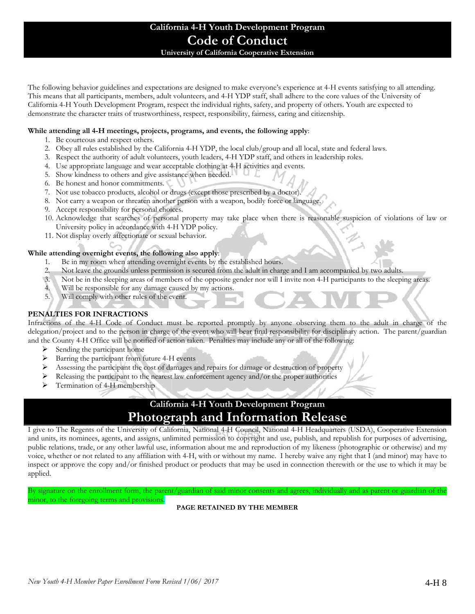# **California 4-H Youth Development Program Code of Conduct**

**University of California Cooperative Extension** 

The following behavior guidelines and expectations are designed to make everyone's experience at 4-H events satisfying to all attending. This means that all participants, members, adult volunteers, and 4-H YDP staff, shall adhere to the core values of the University of California 4-H Youth Development Program, respect the individual rights, safety, and property of others. Youth are expected to demonstrate the character traits of trustworthiness, respect, responsibility, fairness, caring and citizenship.

#### **While attending all 4-H meetings, projects, programs, and events, the following apply**:

- 1. Be courteous and respect others.
- 2. Obey all rules established by the California 4-H YDP, the local club/group and all local, state and federal laws.
- 3. Respect the authority of adult volunteers, youth leaders, 4-H YDP staff, and others in leadership roles.
- 4. Use appropriate language and wear acceptable clothing at 4-H activities and events.
- 5. Show kindness to others and give assistance when needed.
- 6. Be honest and honor commitments.
- 7. Not use tobacco products, alcohol or drugs (except those prescribed by a doctor).
- 8. Not carry a weapon or threaten another person with a weapon, bodily force or language.
- 9. Accept responsibility for personal choices.
- 10. Acknowledge that searches of personal property may take place when there is reasonable suspicion of violations of law or University policy in accordance with 4-H YDP policy.
- 11. Not display overly affectionate or sexual behavior.

#### **While attending overnight events, the following also apply**:

- 1. Be in my room when attending overnight events by the established hours.
- 2. Not leave the grounds unless permission is secured from the adult in charge and I am accompanied by two adults.
- 3. Not be in the sleeping areas of members of the opposite gender nor will I invite non 4-H participants to the sleeping areas.
- 4. Will be responsible for any damage caused by my actions.
- 5. Will comply with other rules of the event.

#### **PENALTIES FOR INFRACTIONS**

Infractions of the 4-H Code of Conduct must be reported promptly by anyone observing them to the adult in charge of the delegation/project and to the person in charge of the event who will bear final responsibility for disciplinary action. The parent/guardian and the County 4-H Office will be notified of action taken. Penalties may include any or all of the following:

- $\triangleright$  Sending the participant home
- $\triangleright$  Barring the participant from future 4-H events
- $\triangleright$  Assessing the participant the cost of damages and repairs for damage or destruction of property
- $\triangleright$  Releasing the participant to the nearest law enforcement agency and/or the proper authorities
- $\triangleright$  Termination of 4-H membership

# **California 4-H Youth Development Program Photograph and Information Release**

I give to The Regents of the University of California, National 4-H Council, National 4-H Headquarters (USDA), Cooperative Extension and units, its nominees, agents, and assigns, unlimited permission to copyright and use, publish, and republish for purposes of advertising, public relations, trade, or any other lawful use, information about me and reproduction of my likeness (photographic or otherwise) and my voice, whether or not related to any affiliation with 4-H, with or without my name. I hereby waive any right that I (and minor) may have to inspect or approve the copy and/or finished product or products that may be used in connection therewith or the use to which it may be applied.

By signature on the enrollment form, the parent/guardian of said minor consents and agrees, individually and as parent or guardian of the minor, to the foregoing terms and provisions.

#### **PAGE RETAINED BY THE MEMBER**